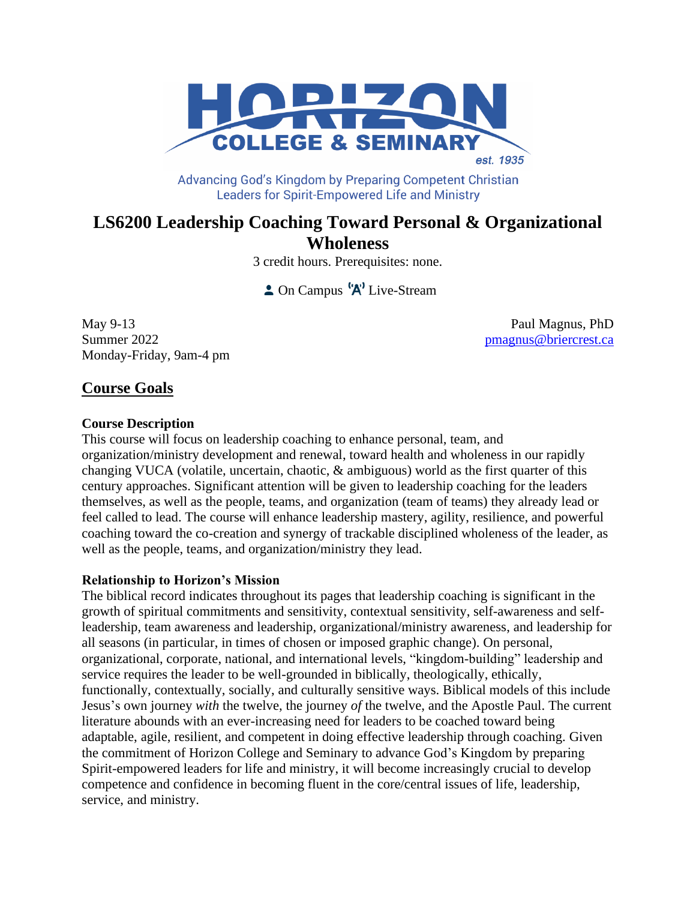

Advancing God's Kingdom by Preparing Competent Christian **Leaders for Spirit-Empowered Life and Ministry** 

# **LS6200 Leadership Coaching Toward Personal & Organizational Wholeness**

3 credit hours. Prerequisites: none.

 $\triangle$  On Campus  $\left(\mathbf{A}\right)^{\dagger}$  Live-Stream

May 9-13 Paul Magnus, PhD Summer 2022 **[pmagnus@briercrest.ca](mailto:pmagnus@briercrest.ca)** Monday-Friday, 9am-4 pm

# **Course Goals**

### **Course Description**

This course will focus on leadership coaching to enhance personal, team, and organization/ministry development and renewal, toward health and wholeness in our rapidly changing VUCA (volatile, uncertain, chaotic, & ambiguous) world as the first quarter of this century approaches. Significant attention will be given to leadership coaching for the leaders themselves, as well as the people, teams, and organization (team of teams) they already lead or feel called to lead. The course will enhance leadership mastery, agility, resilience, and powerful coaching toward the co-creation and synergy of trackable disciplined wholeness of the leader, as well as the people, teams, and organization/ministry they lead.

# **Relationship to Horizon's Mission**

The biblical record indicates throughout its pages that leadership coaching is significant in the growth of spiritual commitments and sensitivity, contextual sensitivity, self-awareness and selfleadership, team awareness and leadership, organizational/ministry awareness, and leadership for all seasons (in particular, in times of chosen or imposed graphic change). On personal, organizational, corporate, national, and international levels, "kingdom-building" leadership and service requires the leader to be well-grounded in biblically, theologically, ethically, functionally, contextually, socially, and culturally sensitive ways. Biblical models of this include Jesus's own journey *with* the twelve, the journey *of* the twelve, and the Apostle Paul. The current literature abounds with an ever-increasing need for leaders to be coached toward being adaptable, agile, resilient, and competent in doing effective leadership through coaching. Given the commitment of Horizon College and Seminary to advance God's Kingdom by preparing Spirit-empowered leaders for life and ministry, it will become increasingly crucial to develop competence and confidence in becoming fluent in the core/central issues of life, leadership, service, and ministry.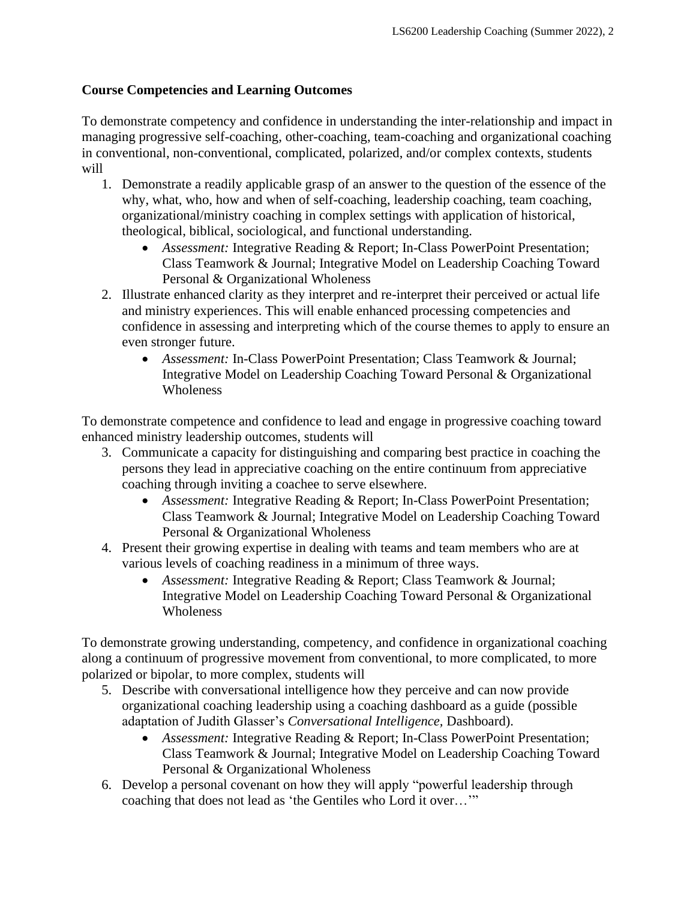# **Course Competencies and Learning Outcomes**

To demonstrate competency and confidence in understanding the inter-relationship and impact in managing progressive self-coaching, other-coaching, team-coaching and organizational coaching in conventional, non-conventional, complicated, polarized, and/or complex contexts, students will

- 1. Demonstrate a readily applicable grasp of an answer to the question of the essence of the why, what, who, how and when of self-coaching, leadership coaching, team coaching, organizational/ministry coaching in complex settings with application of historical, theological, biblical, sociological, and functional understanding.
	- *Assessment:* Integrative Reading & Report; In-Class PowerPoint Presentation; Class Teamwork & Journal; Integrative Model on Leadership Coaching Toward Personal & Organizational Wholeness
- 2. Illustrate enhanced clarity as they interpret and re-interpret their perceived or actual life and ministry experiences. This will enable enhanced processing competencies and confidence in assessing and interpreting which of the course themes to apply to ensure an even stronger future.
	- *Assessment:* In-Class PowerPoint Presentation; Class Teamwork & Journal; Integrative Model on Leadership Coaching Toward Personal & Organizational **Wholeness**

To demonstrate competence and confidence to lead and engage in progressive coaching toward enhanced ministry leadership outcomes, students will

- 3. Communicate a capacity for distinguishing and comparing best practice in coaching the persons they lead in appreciative coaching on the entire continuum from appreciative coaching through inviting a coachee to serve elsewhere.
	- *Assessment:* Integrative Reading & Report; In-Class PowerPoint Presentation; Class Teamwork & Journal; Integrative Model on Leadership Coaching Toward Personal & Organizational Wholeness
- 4. Present their growing expertise in dealing with teams and team members who are at various levels of coaching readiness in a minimum of three ways.
	- *Assessment:* Integrative Reading & Report; Class Teamwork & Journal; Integrative Model on Leadership Coaching Toward Personal & Organizational Wholeness

To demonstrate growing understanding, competency, and confidence in organizational coaching along a continuum of progressive movement from conventional, to more complicated, to more polarized or bipolar, to more complex, students will

- 5. Describe with conversational intelligence how they perceive and can now provide organizational coaching leadership using a coaching dashboard as a guide (possible adaptation of Judith Glasser's *Conversational Intelligence,* Dashboard).
	- *Assessment:* Integrative Reading & Report; In-Class PowerPoint Presentation; Class Teamwork & Journal; Integrative Model on Leadership Coaching Toward Personal & Organizational Wholeness
- 6. Develop a personal covenant on how they will apply "powerful leadership through coaching that does not lead as 'the Gentiles who Lord it over…'"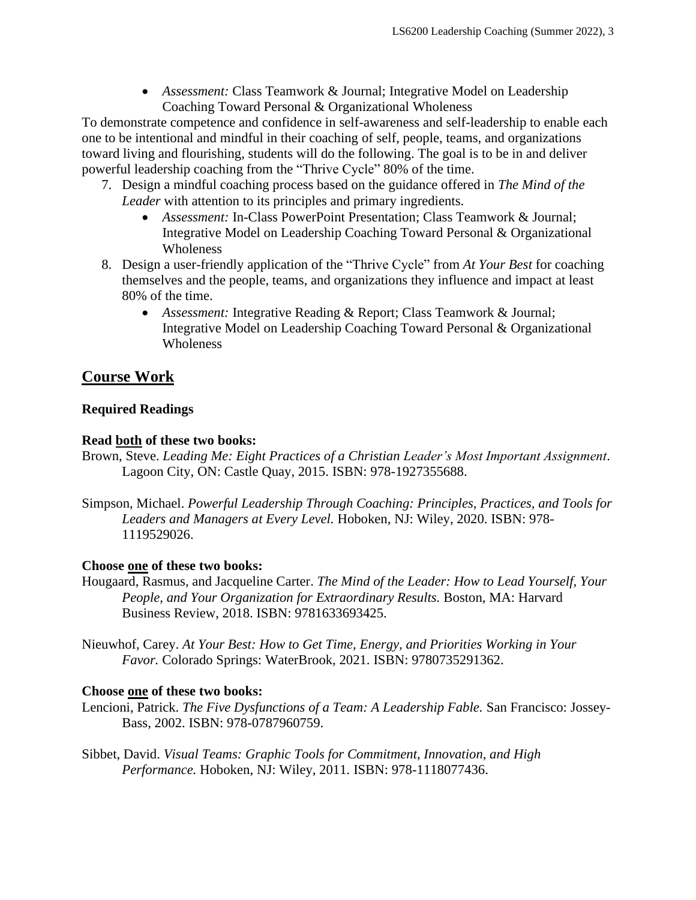• *Assessment:* Class Teamwork & Journal; Integrative Model on Leadership Coaching Toward Personal & Organizational Wholeness

To demonstrate competence and confidence in self-awareness and self-leadership to enable each one to be intentional and mindful in their coaching of self, people, teams, and organizations toward living and flourishing, students will do the following. The goal is to be in and deliver powerful leadership coaching from the "Thrive Cycle" 80% of the time.

- 7. Design a mindful coaching process based on the guidance offered in *The Mind of the Leader* with attention to its principles and primary ingredients.
	- *Assessment:* In-Class PowerPoint Presentation; Class Teamwork & Journal; Integrative Model on Leadership Coaching Toward Personal & Organizational Wholeness
- 8. Design a user-friendly application of the "Thrive Cycle" from *At Your Best* for coaching themselves and the people, teams, and organizations they influence and impact at least 80% of the time.
	- *Assessment:* Integrative Reading & Report; Class Teamwork & Journal; Integrative Model on Leadership Coaching Toward Personal & Organizational Wholeness

# **Course Work**

# **Required Readings**

# **Read both of these two books:**

- Brown, Steve. *Leading Me: Eight Practices of a Christian Leader's Most Important Assignment*. Lagoon City, ON: Castle Quay, 2015. ISBN: 978-1927355688.
- Simpson, Michael. *Powerful Leadership Through Coaching: Principles, Practices, and Tools for Leaders and Managers at Every Level.* Hoboken, NJ: Wiley, 2020. ISBN: 978- 1119529026.

# **Choose one of these two books:**

- Hougaard, Rasmus, and Jacqueline Carter. *The Mind of the Leader: How to Lead Yourself, Your People, and Your Organization for Extraordinary Results.* Boston, MA: Harvard Business Review, 2018. ISBN: 9781633693425.
- Nieuwhof, Carey. *At Your Best: How to Get Time, Energy, and Priorities Working in Your Favor.* Colorado Springs: WaterBrook, 2021. ISBN: 9780735291362.

# **Choose one of these two books:**

- Lencioni, Patrick. *The Five Dysfunctions of a Team: A Leadership Fable.* San Francisco: Jossey-Bass, 2002. ISBN: 978-0787960759.
- Sibbet, David. *Visual Teams: Graphic Tools for Commitment, Innovation, and High Performance.* Hoboken, NJ: Wiley, 2011. ISBN: 978-1118077436.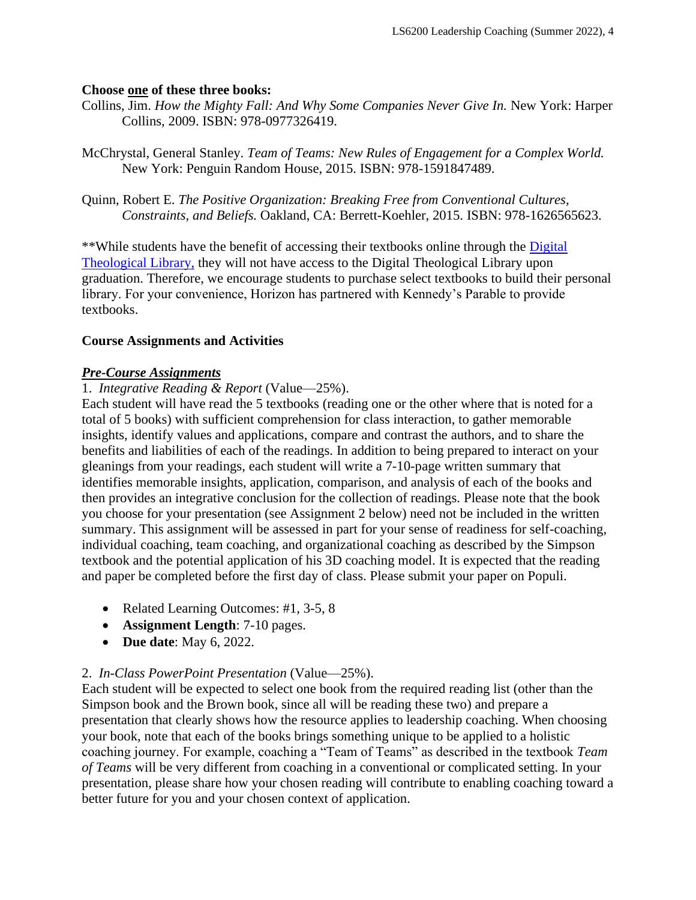### **Choose one of these three books:**

- Collins, Jim. *How the Mighty Fall: And Why Some Companies Never Give In.* New York: Harper Collins, 2009. ISBN: 978-0977326419.
- McChrystal, General Stanley. *Team of Teams: New Rules of Engagement for a Complex World.*  New York: Penguin Random House, 2015. ISBN: 978-1591847489.
- Quinn, Robert E. *The Positive Organization: Breaking Free from Conventional Cultures, Constraints, and Beliefs.* Oakland, CA: Berrett-Koehler, 2015. ISBN: 978-1626565623.

\*\*While students have the benefit of accessing their textbooks online through the Digital [Theological Library,](https://saskatoon.mlasolutions.com/m5/catalog/(S(3h21syce2tpjqj0wea2rbnzr))/Default.aspx?installation=HRZN) they will not have access to the Digital Theological Library upon graduation. Therefore, we encourage students to purchase select textbooks to build their personal library. For your convenience, Horizon has partnered with Kennedy's Parable to provide textbooks.

# **Course Assignments and Activities**

# *Pre-Course Assignments*

# 1. *Integrative Reading & Report* (Value—25%).

Each student will have read the 5 textbooks (reading one or the other where that is noted for a total of 5 books) with sufficient comprehension for class interaction, to gather memorable insights, identify values and applications, compare and contrast the authors, and to share the benefits and liabilities of each of the readings. In addition to being prepared to interact on your gleanings from your readings, each student will write a 7-10-page written summary that identifies memorable insights, application, comparison, and analysis of each of the books and then provides an integrative conclusion for the collection of readings. Please note that the book you choose for your presentation (see Assignment 2 below) need not be included in the written summary. This assignment will be assessed in part for your sense of readiness for self-coaching, individual coaching, team coaching, and organizational coaching as described by the Simpson textbook and the potential application of his 3D coaching model. It is expected that the reading and paper be completed before the first day of class. Please submit your paper on Populi.

- Related Learning Outcomes: #1, 3-5, 8
- **Assignment Length**: 7-10 pages.
- **Due date**: May 6, 2022.

# 2. *In-Class PowerPoint Presentation* (Value—25%).

Each student will be expected to select one book from the required reading list (other than the Simpson book and the Brown book, since all will be reading these two) and prepare a presentation that clearly shows how the resource applies to leadership coaching. When choosing your book, note that each of the books brings something unique to be applied to a holistic coaching journey. For example, coaching a "Team of Teams" as described in the textbook *Team of Teams* will be very different from coaching in a conventional or complicated setting. In your presentation, please share how your chosen reading will contribute to enabling coaching toward a better future for you and your chosen context of application.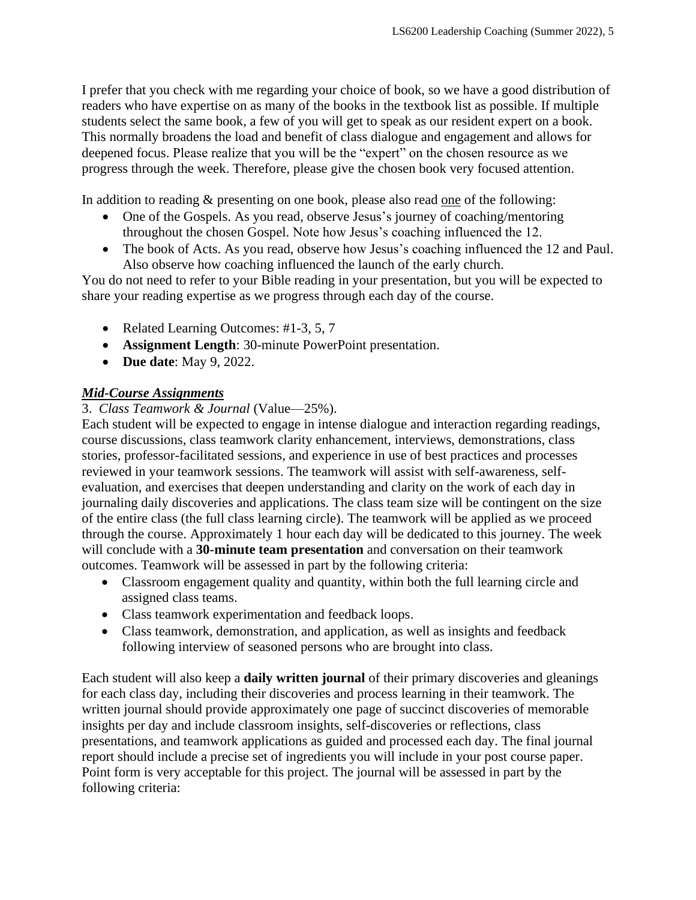I prefer that you check with me regarding your choice of book, so we have a good distribution of readers who have expertise on as many of the books in the textbook list as possible. If multiple students select the same book, a few of you will get to speak as our resident expert on a book. This normally broadens the load and benefit of class dialogue and engagement and allows for deepened focus. Please realize that you will be the "expert" on the chosen resource as we progress through the week. Therefore, please give the chosen book very focused attention.

In addition to reading & presenting on one book, please also read <u>one</u> of the following:

- One of the Gospels. As you read, observe Jesus's journey of coaching/mentoring throughout the chosen Gospel. Note how Jesus's coaching influenced the 12.
- The book of Acts. As you read, observe how Jesus's coaching influenced the 12 and Paul. Also observe how coaching influenced the launch of the early church.

You do not need to refer to your Bible reading in your presentation, but you will be expected to share your reading expertise as we progress through each day of the course.

- Related Learning Outcomes: #1-3, 5, 7
- **Assignment Length**: 30-minute PowerPoint presentation.
- **Due date**: May 9, 2022.

# *Mid-Course Assignments*

3. *Class Teamwork & Journal* (Value—25%).

Each student will be expected to engage in intense dialogue and interaction regarding readings, course discussions, class teamwork clarity enhancement, interviews, demonstrations, class stories, professor-facilitated sessions, and experience in use of best practices and processes reviewed in your teamwork sessions. The teamwork will assist with self-awareness, selfevaluation, and exercises that deepen understanding and clarity on the work of each day in journaling daily discoveries and applications. The class team size will be contingent on the size of the entire class (the full class learning circle). The teamwork will be applied as we proceed through the course. Approximately 1 hour each day will be dedicated to this journey. The week will conclude with a **30-minute team presentation** and conversation on their teamwork outcomes. Teamwork will be assessed in part by the following criteria:

- Classroom engagement quality and quantity, within both the full learning circle and assigned class teams.
- Class teamwork experimentation and feedback loops.
- Class teamwork, demonstration, and application, as well as insights and feedback following interview of seasoned persons who are brought into class.

Each student will also keep a **daily written journal** of their primary discoveries and gleanings for each class day, including their discoveries and process learning in their teamwork. The written journal should provide approximately one page of succinct discoveries of memorable insights per day and include classroom insights, self-discoveries or reflections, class presentations, and teamwork applications as guided and processed each day. The final journal report should include a precise set of ingredients you will include in your post course paper. Point form is very acceptable for this project. The journal will be assessed in part by the following criteria: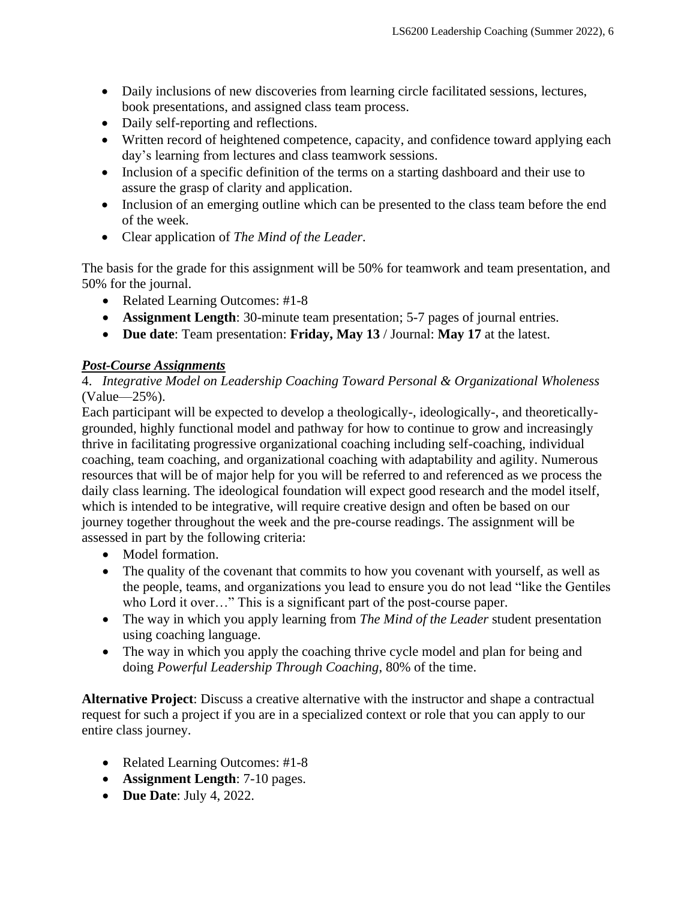- Daily inclusions of new discoveries from learning circle facilitated sessions, lectures, book presentations, and assigned class team process.
- Daily self-reporting and reflections.
- Written record of heightened competence, capacity, and confidence toward applying each day's learning from lectures and class teamwork sessions.
- Inclusion of a specific definition of the terms on a starting dashboard and their use to assure the grasp of clarity and application.
- Inclusion of an emerging outline which can be presented to the class team before the end of the week.
- Clear application of *The Mind of the Leader*.

The basis for the grade for this assignment will be 50% for teamwork and team presentation, and 50% for the journal.

- Related Learning Outcomes: #1-8
- **Assignment Length**: 30-minute team presentation; 5-7 pages of journal entries.
- **Due date**: Team presentation: **Friday, May 13** / Journal: **May 17** at the latest.

# *Post-Course Assignments*

4. *Integrative Model on Leadership Coaching Toward Personal & Organizational Wholeness* (Value—25%).

Each participant will be expected to develop a theologically-, ideologically-, and theoreticallygrounded, highly functional model and pathway for how to continue to grow and increasingly thrive in facilitating progressive organizational coaching including self-coaching, individual coaching, team coaching, and organizational coaching with adaptability and agility. Numerous resources that will be of major help for you will be referred to and referenced as we process the daily class learning. The ideological foundation will expect good research and the model itself, which is intended to be integrative, will require creative design and often be based on our journey together throughout the week and the pre-course readings. The assignment will be assessed in part by the following criteria:

- Model formation.
- The quality of the covenant that commits to how you covenant with yourself, as well as the people, teams, and organizations you lead to ensure you do not lead "like the Gentiles who Lord it over..." This is a significant part of the post-course paper.
- The way in which you apply learning from *The Mind of the Leader* student presentation using coaching language.
- The way in which you apply the coaching thrive cycle model and plan for being and doing *Powerful Leadership Through Coaching*, 80% of the time.

**Alternative Project**: Discuss a creative alternative with the instructor and shape a contractual request for such a project if you are in a specialized context or role that you can apply to our entire class journey.

- Related Learning Outcomes: #1-8
- **Assignment Length**: 7-10 pages.
- **Due Date**: July 4, 2022.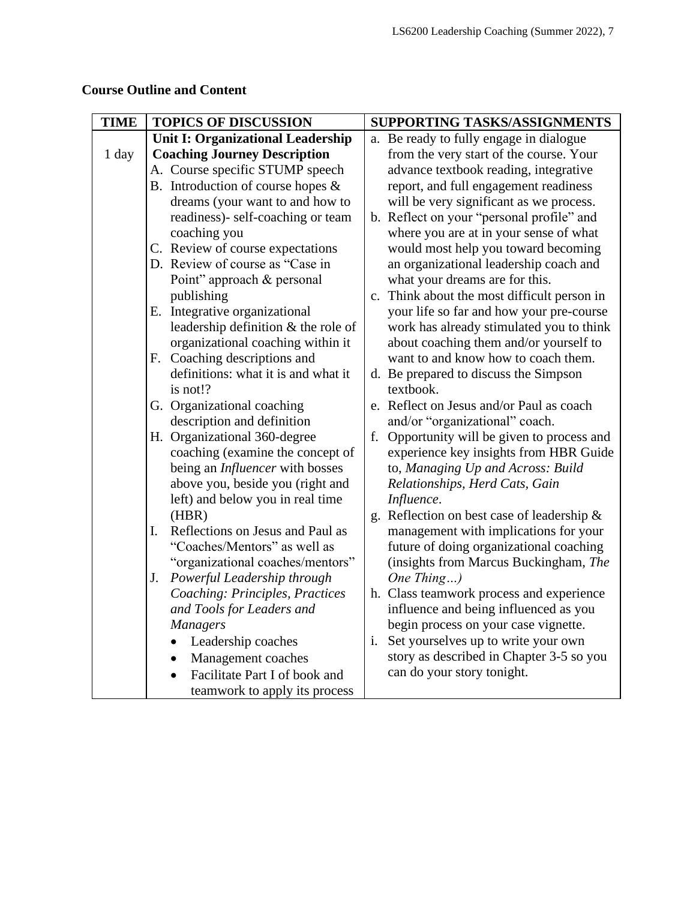| <b>TIME</b> | <b>TOPICS OF DISCUSSION</b>              | SUPPORTING TASKS/ASSIGNMENTS                          |
|-------------|------------------------------------------|-------------------------------------------------------|
|             | <b>Unit I: Organizational Leadership</b> | a. Be ready to fully engage in dialogue               |
| 1 day       | <b>Coaching Journey Description</b>      | from the very start of the course. Your               |
|             | A. Course specific STUMP speech          | advance textbook reading, integrative                 |
|             | B. Introduction of course hopes $\&$     | report, and full engagement readiness                 |
|             | dreams (your want to and how to          | will be very significant as we process.               |
|             | readiness)- self-coaching or team        | b. Reflect on your "personal profile" and             |
|             | coaching you                             | where you are at in your sense of what                |
|             | C. Review of course expectations         | would most help you toward becoming                   |
|             | D. Review of course as "Case in          | an organizational leadership coach and                |
|             | Point" approach & personal               | what your dreams are for this.                        |
|             | publishing                               | c. Think about the most difficult person in           |
|             | E. Integrative organizational            | your life so far and how your pre-course              |
|             | leadership definition & the role of      | work has already stimulated you to think              |
|             | organizational coaching within it        | about coaching them and/or yourself to                |
|             | F. Coaching descriptions and             | want to and know how to coach them.                   |
|             | definitions: what it is and what it      | d. Be prepared to discuss the Simpson                 |
|             | is not!?                                 | textbook.                                             |
|             | G. Organizational coaching               | e. Reflect on Jesus and/or Paul as coach              |
|             | description and definition               | and/or "organizational" coach.                        |
|             | H. Organizational 360-degree             | Opportunity will be given to process and<br>f.        |
|             | coaching (examine the concept of         | experience key insights from HBR Guide                |
|             | being an <i>Influencer</i> with bosses   | to, Managing Up and Across: Build                     |
|             | above you, beside you (right and         | Relationships, Herd Cats, Gain                        |
|             | left) and below you in real time         | Influence.                                            |
|             | (HBR)                                    | g. Reflection on best case of leadership &            |
|             | Reflections on Jesus and Paul as<br>I.   | management with implications for your                 |
|             | "Coaches/Mentors" as well as             | future of doing organizational coaching               |
|             | "organizational coaches/mentors"         | (insights from Marcus Buckingham, The                 |
|             | Powerful Leadership through<br>J.        | One Thing $)$                                         |
|             | Coaching: Principles, Practices          | h. Class teamwork process and experience              |
|             | and Tools for Leaders and                | influence and being influenced as you                 |
|             | <b>Managers</b>                          | begin process on your case vignette.                  |
|             | Leadership coaches                       | Set yourselves up to write your own<br>$\mathbf{1}$ . |
|             | Management coaches<br>$\bullet$          | story as described in Chapter 3-5 so you              |
|             | Facilitate Part I of book and            | can do your story tonight.                            |
|             | teamwork to apply its process            |                                                       |

# **Course Outline and Content**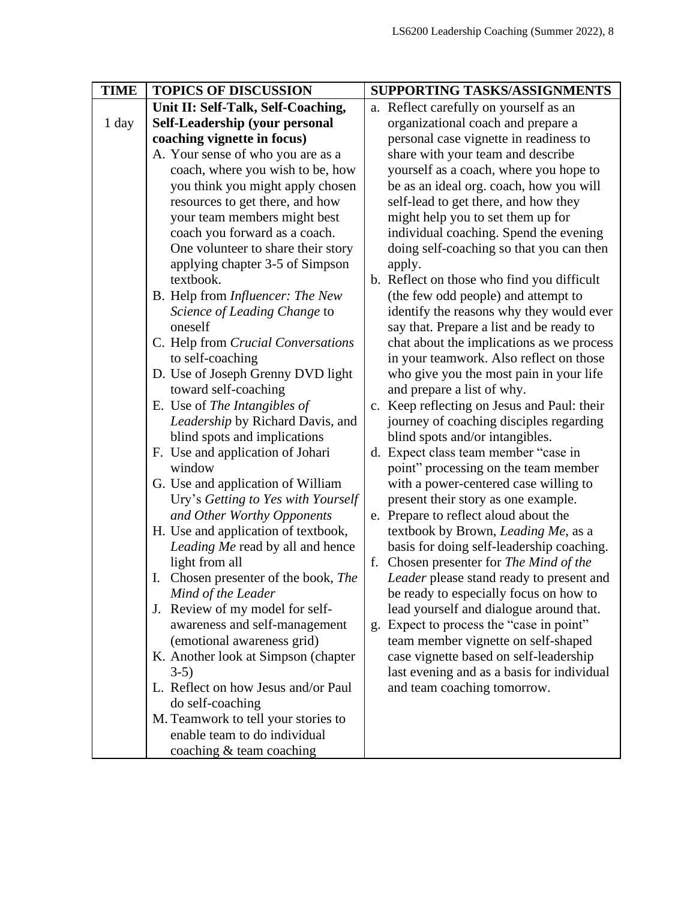| <b>TIME</b> | <b>TOPICS OF DISCUSSION</b>                                                                                                                                                                                                                                                                                                                                                 | SUPPORTING TASKS/ASSIGNMENTS |                                                                                                                                                                                                                                                                                                                                         |
|-------------|-----------------------------------------------------------------------------------------------------------------------------------------------------------------------------------------------------------------------------------------------------------------------------------------------------------------------------------------------------------------------------|------------------------------|-----------------------------------------------------------------------------------------------------------------------------------------------------------------------------------------------------------------------------------------------------------------------------------------------------------------------------------------|
|             | Unit II: Self-Talk, Self-Coaching,                                                                                                                                                                                                                                                                                                                                          |                              | a. Reflect carefully on yourself as an                                                                                                                                                                                                                                                                                                  |
| 1 day       | Self-Leadership (your personal                                                                                                                                                                                                                                                                                                                                              |                              | organizational coach and prepare a                                                                                                                                                                                                                                                                                                      |
|             | coaching vignette in focus)                                                                                                                                                                                                                                                                                                                                                 |                              | personal case vignette in readiness to                                                                                                                                                                                                                                                                                                  |
|             | A. Your sense of who you are as a                                                                                                                                                                                                                                                                                                                                           |                              | share with your team and describe                                                                                                                                                                                                                                                                                                       |
|             | coach, where you wish to be, how                                                                                                                                                                                                                                                                                                                                            |                              | yourself as a coach, where you hope to                                                                                                                                                                                                                                                                                                  |
|             | you think you might apply chosen                                                                                                                                                                                                                                                                                                                                            |                              | be as an ideal org. coach, how you will                                                                                                                                                                                                                                                                                                 |
|             | resources to get there, and how                                                                                                                                                                                                                                                                                                                                             |                              | self-lead to get there, and how they                                                                                                                                                                                                                                                                                                    |
|             | your team members might best                                                                                                                                                                                                                                                                                                                                                |                              | might help you to set them up for                                                                                                                                                                                                                                                                                                       |
|             | coach you forward as a coach.                                                                                                                                                                                                                                                                                                                                               |                              | individual coaching. Spend the evening                                                                                                                                                                                                                                                                                                  |
|             | One volunteer to share their story                                                                                                                                                                                                                                                                                                                                          |                              | doing self-coaching so that you can then                                                                                                                                                                                                                                                                                                |
|             | applying chapter 3-5 of Simpson                                                                                                                                                                                                                                                                                                                                             |                              | apply.                                                                                                                                                                                                                                                                                                                                  |
|             | textbook.                                                                                                                                                                                                                                                                                                                                                                   |                              | b. Reflect on those who find you difficult                                                                                                                                                                                                                                                                                              |
|             | B. Help from <i>Influencer: The New</i>                                                                                                                                                                                                                                                                                                                                     |                              | (the few odd people) and attempt to                                                                                                                                                                                                                                                                                                     |
|             | Science of Leading Change to                                                                                                                                                                                                                                                                                                                                                |                              | identify the reasons why they would ever                                                                                                                                                                                                                                                                                                |
|             | oneself                                                                                                                                                                                                                                                                                                                                                                     |                              | say that. Prepare a list and be ready to                                                                                                                                                                                                                                                                                                |
|             | C. Help from Crucial Conversations                                                                                                                                                                                                                                                                                                                                          |                              | chat about the implications as we process                                                                                                                                                                                                                                                                                               |
|             | to self-coaching                                                                                                                                                                                                                                                                                                                                                            |                              | in your teamwork. Also reflect on those                                                                                                                                                                                                                                                                                                 |
|             | D. Use of Joseph Grenny DVD light                                                                                                                                                                                                                                                                                                                                           |                              | who give you the most pain in your life                                                                                                                                                                                                                                                                                                 |
|             | toward self-coaching                                                                                                                                                                                                                                                                                                                                                        |                              | and prepare a list of why.                                                                                                                                                                                                                                                                                                              |
|             | E. Use of The Intangibles of                                                                                                                                                                                                                                                                                                                                                |                              | c. Keep reflecting on Jesus and Paul: their                                                                                                                                                                                                                                                                                             |
|             | Leadership by Richard Davis, and                                                                                                                                                                                                                                                                                                                                            |                              | journey of coaching disciples regarding                                                                                                                                                                                                                                                                                                 |
|             | blind spots and implications                                                                                                                                                                                                                                                                                                                                                |                              | blind spots and/or intangibles.                                                                                                                                                                                                                                                                                                         |
|             | F. Use and application of Johari                                                                                                                                                                                                                                                                                                                                            |                              | d. Expect class team member "case in                                                                                                                                                                                                                                                                                                    |
|             | window                                                                                                                                                                                                                                                                                                                                                                      |                              | point" processing on the team member                                                                                                                                                                                                                                                                                                    |
|             | G. Use and application of William                                                                                                                                                                                                                                                                                                                                           |                              | with a power-centered case willing to                                                                                                                                                                                                                                                                                                   |
|             | Ury's Getting to Yes with Yourself                                                                                                                                                                                                                                                                                                                                          |                              | present their story as one example.                                                                                                                                                                                                                                                                                                     |
|             | and Other Worthy Opponents                                                                                                                                                                                                                                                                                                                                                  |                              | e. Prepare to reflect aloud about the                                                                                                                                                                                                                                                                                                   |
|             | H. Use and application of textbook,                                                                                                                                                                                                                                                                                                                                         |                              | textbook by Brown, <i>Leading Me</i> , as a                                                                                                                                                                                                                                                                                             |
|             | Leading Me read by all and hence                                                                                                                                                                                                                                                                                                                                            |                              | basis for doing self-leadership coaching.                                                                                                                                                                                                                                                                                               |
|             | light from all                                                                                                                                                                                                                                                                                                                                                              | f.                           | Chosen presenter for The Mind of the                                                                                                                                                                                                                                                                                                    |
|             |                                                                                                                                                                                                                                                                                                                                                                             |                              |                                                                                                                                                                                                                                                                                                                                         |
|             |                                                                                                                                                                                                                                                                                                                                                                             |                              |                                                                                                                                                                                                                                                                                                                                         |
|             |                                                                                                                                                                                                                                                                                                                                                                             |                              |                                                                                                                                                                                                                                                                                                                                         |
|             |                                                                                                                                                                                                                                                                                                                                                                             |                              |                                                                                                                                                                                                                                                                                                                                         |
|             |                                                                                                                                                                                                                                                                                                                                                                             |                              |                                                                                                                                                                                                                                                                                                                                         |
|             |                                                                                                                                                                                                                                                                                                                                                                             |                              |                                                                                                                                                                                                                                                                                                                                         |
|             |                                                                                                                                                                                                                                                                                                                                                                             |                              |                                                                                                                                                                                                                                                                                                                                         |
|             |                                                                                                                                                                                                                                                                                                                                                                             |                              |                                                                                                                                                                                                                                                                                                                                         |
|             |                                                                                                                                                                                                                                                                                                                                                                             |                              |                                                                                                                                                                                                                                                                                                                                         |
|             |                                                                                                                                                                                                                                                                                                                                                                             |                              |                                                                                                                                                                                                                                                                                                                                         |
|             |                                                                                                                                                                                                                                                                                                                                                                             |                              |                                                                                                                                                                                                                                                                                                                                         |
|             | I. Chosen presenter of the book, The<br>Mind of the Leader<br>J. Review of my model for self-<br>awareness and self-management<br>(emotional awareness grid)<br>K. Another look at Simpson (chapter<br>$3-5)$<br>L. Reflect on how Jesus and/or Paul<br>do self-coaching<br>M. Teamwork to tell your stories to<br>enable team to do individual<br>coaching & team coaching |                              | Leader please stand ready to present and<br>be ready to especially focus on how to<br>lead yourself and dialogue around that.<br>g. Expect to process the "case in point"<br>team member vignette on self-shaped<br>case vignette based on self-leadership<br>last evening and as a basis for individual<br>and team coaching tomorrow. |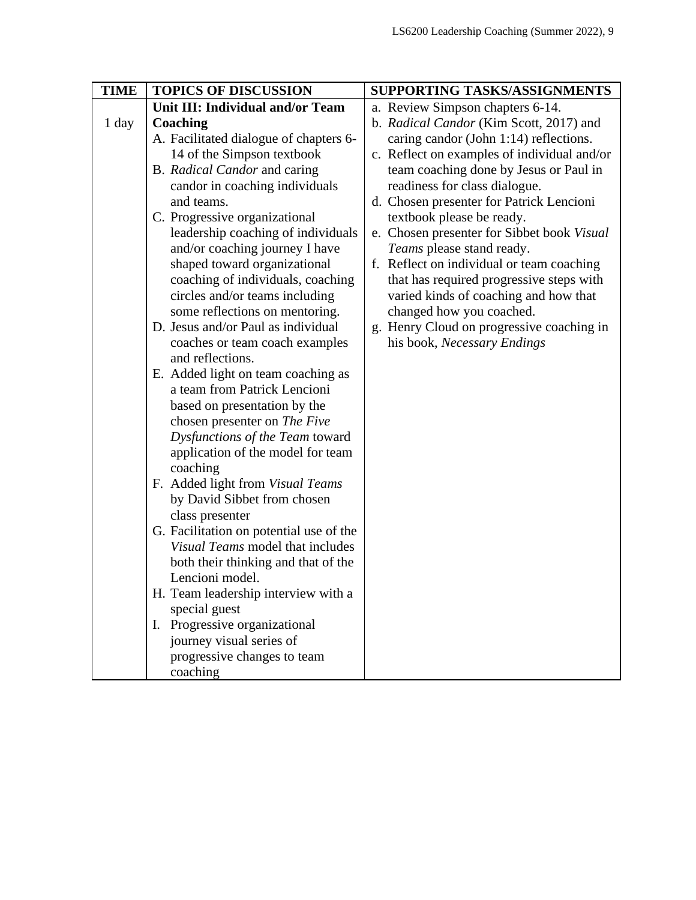| <b>TIME</b> | <b>TOPICS OF DISCUSSION</b>             | SUPPORTING TASKS/ASSIGNMENTS                |
|-------------|-----------------------------------------|---------------------------------------------|
|             | Unit III: Individual and/or Team        | a. Review Simpson chapters 6-14.            |
| 1 day       | Coaching                                | b. Radical Candor (Kim Scott, 2017) and     |
|             | A. Facilitated dialogue of chapters 6-  | caring candor (John 1:14) reflections.      |
|             | 14 of the Simpson textbook              | c. Reflect on examples of individual and/or |
|             | B. Radical Candor and caring            | team coaching done by Jesus or Paul in      |
|             | candor in coaching individuals          | readiness for class dialogue.               |
|             | and teams.                              | d. Chosen presenter for Patrick Lencioni    |
|             | C. Progressive organizational           | textbook please be ready.                   |
|             | leadership coaching of individuals      | e. Chosen presenter for Sibbet book Visual  |
|             | and/or coaching journey I have          | Teams please stand ready.                   |
|             | shaped toward organizational            | f. Reflect on individual or team coaching   |
|             | coaching of individuals, coaching       | that has required progressive steps with    |
|             | circles and/or teams including          | varied kinds of coaching and how that       |
|             | some reflections on mentoring.          | changed how you coached.                    |
|             | D. Jesus and/or Paul as individual      | g. Henry Cloud on progressive coaching in   |
|             | coaches or team coach examples          | his book, Necessary Endings                 |
|             | and reflections.                        |                                             |
|             | E. Added light on team coaching as      |                                             |
|             | a team from Patrick Lencioni            |                                             |
|             | based on presentation by the            |                                             |
|             | chosen presenter on The Five            |                                             |
|             | Dysfunctions of the Team toward         |                                             |
|             | application of the model for team       |                                             |
|             | coaching                                |                                             |
|             | F. Added light from Visual Teams        |                                             |
|             | by David Sibbet from chosen             |                                             |
|             | class presenter                         |                                             |
|             | G. Facilitation on potential use of the |                                             |
|             | Visual Teams model that includes        |                                             |
|             | both their thinking and that of the     |                                             |
|             | Lencioni model.                         |                                             |
|             | H. Team leadership interview with a     |                                             |
|             | special guest                           |                                             |
|             | I. Progressive organizational           |                                             |
|             | journey visual series of                |                                             |
|             | progressive changes to team             |                                             |
|             | coaching                                |                                             |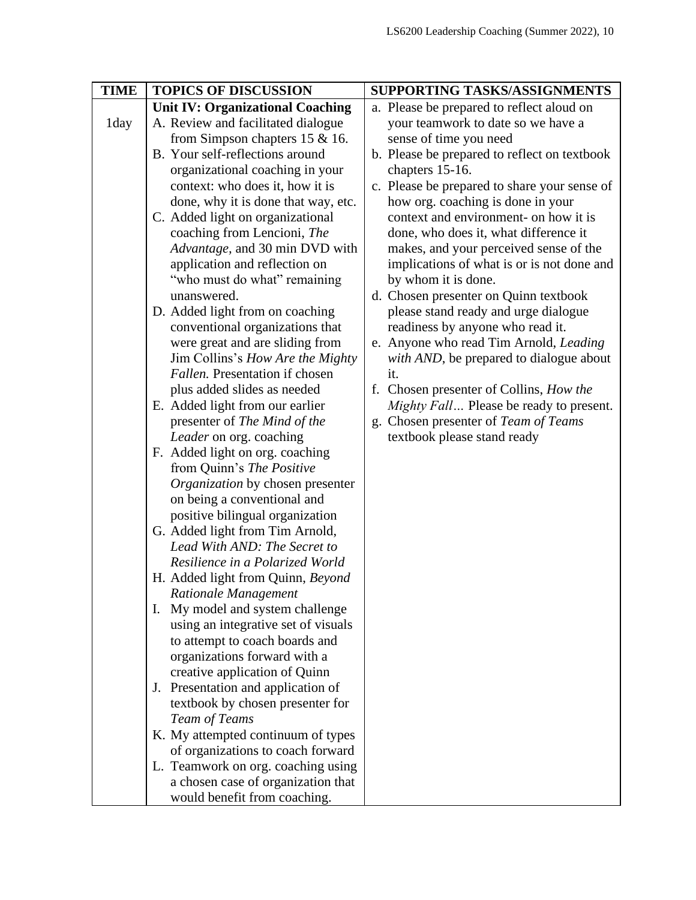| <b>TOPICS OF DISCUSSION</b>             | SUPPORTING TASKS/ASSIGNMENTS                                                                                                                                                                                                                                                                                                                                                                                                                                                                                                                                                                                                                                                                                                                                                                                                                                                                                                                                                                                                                                                                                                                                                                  |
|-----------------------------------------|-----------------------------------------------------------------------------------------------------------------------------------------------------------------------------------------------------------------------------------------------------------------------------------------------------------------------------------------------------------------------------------------------------------------------------------------------------------------------------------------------------------------------------------------------------------------------------------------------------------------------------------------------------------------------------------------------------------------------------------------------------------------------------------------------------------------------------------------------------------------------------------------------------------------------------------------------------------------------------------------------------------------------------------------------------------------------------------------------------------------------------------------------------------------------------------------------|
| <b>Unit IV: Organizational Coaching</b> | a. Please be prepared to reflect aloud on                                                                                                                                                                                                                                                                                                                                                                                                                                                                                                                                                                                                                                                                                                                                                                                                                                                                                                                                                                                                                                                                                                                                                     |
| A. Review and facilitated dialogue      | your teamwork to date so we have a                                                                                                                                                                                                                                                                                                                                                                                                                                                                                                                                                                                                                                                                                                                                                                                                                                                                                                                                                                                                                                                                                                                                                            |
| from Simpson chapters $15 \& 16$ .      | sense of time you need                                                                                                                                                                                                                                                                                                                                                                                                                                                                                                                                                                                                                                                                                                                                                                                                                                                                                                                                                                                                                                                                                                                                                                        |
| B. Your self-reflections around         | b. Please be prepared to reflect on textbook                                                                                                                                                                                                                                                                                                                                                                                                                                                                                                                                                                                                                                                                                                                                                                                                                                                                                                                                                                                                                                                                                                                                                  |
| organizational coaching in your         | chapters 15-16.                                                                                                                                                                                                                                                                                                                                                                                                                                                                                                                                                                                                                                                                                                                                                                                                                                                                                                                                                                                                                                                                                                                                                                               |
|                                         | c. Please be prepared to share your sense of                                                                                                                                                                                                                                                                                                                                                                                                                                                                                                                                                                                                                                                                                                                                                                                                                                                                                                                                                                                                                                                                                                                                                  |
|                                         | how org. coaching is done in your                                                                                                                                                                                                                                                                                                                                                                                                                                                                                                                                                                                                                                                                                                                                                                                                                                                                                                                                                                                                                                                                                                                                                             |
|                                         | context and environment- on how it is                                                                                                                                                                                                                                                                                                                                                                                                                                                                                                                                                                                                                                                                                                                                                                                                                                                                                                                                                                                                                                                                                                                                                         |
|                                         | done, who does it, what difference it                                                                                                                                                                                                                                                                                                                                                                                                                                                                                                                                                                                                                                                                                                                                                                                                                                                                                                                                                                                                                                                                                                                                                         |
|                                         | makes, and your perceived sense of the                                                                                                                                                                                                                                                                                                                                                                                                                                                                                                                                                                                                                                                                                                                                                                                                                                                                                                                                                                                                                                                                                                                                                        |
|                                         | implications of what is or is not done and                                                                                                                                                                                                                                                                                                                                                                                                                                                                                                                                                                                                                                                                                                                                                                                                                                                                                                                                                                                                                                                                                                                                                    |
|                                         | by whom it is done.                                                                                                                                                                                                                                                                                                                                                                                                                                                                                                                                                                                                                                                                                                                                                                                                                                                                                                                                                                                                                                                                                                                                                                           |
|                                         | d. Chosen presenter on Quinn textbook                                                                                                                                                                                                                                                                                                                                                                                                                                                                                                                                                                                                                                                                                                                                                                                                                                                                                                                                                                                                                                                                                                                                                         |
|                                         | please stand ready and urge dialogue                                                                                                                                                                                                                                                                                                                                                                                                                                                                                                                                                                                                                                                                                                                                                                                                                                                                                                                                                                                                                                                                                                                                                          |
|                                         | readiness by anyone who read it.                                                                                                                                                                                                                                                                                                                                                                                                                                                                                                                                                                                                                                                                                                                                                                                                                                                                                                                                                                                                                                                                                                                                                              |
|                                         | e. Anyone who read Tim Arnold, Leading<br>with AND, be prepared to dialogue about                                                                                                                                                                                                                                                                                                                                                                                                                                                                                                                                                                                                                                                                                                                                                                                                                                                                                                                                                                                                                                                                                                             |
|                                         | it.                                                                                                                                                                                                                                                                                                                                                                                                                                                                                                                                                                                                                                                                                                                                                                                                                                                                                                                                                                                                                                                                                                                                                                                           |
|                                         | f. Chosen presenter of Collins, How the                                                                                                                                                                                                                                                                                                                                                                                                                                                                                                                                                                                                                                                                                                                                                                                                                                                                                                                                                                                                                                                                                                                                                       |
|                                         | Mighty Fall Please be ready to present.                                                                                                                                                                                                                                                                                                                                                                                                                                                                                                                                                                                                                                                                                                                                                                                                                                                                                                                                                                                                                                                                                                                                                       |
|                                         | g. Chosen presenter of Team of Teams                                                                                                                                                                                                                                                                                                                                                                                                                                                                                                                                                                                                                                                                                                                                                                                                                                                                                                                                                                                                                                                                                                                                                          |
|                                         | textbook please stand ready                                                                                                                                                                                                                                                                                                                                                                                                                                                                                                                                                                                                                                                                                                                                                                                                                                                                                                                                                                                                                                                                                                                                                                   |
|                                         |                                                                                                                                                                                                                                                                                                                                                                                                                                                                                                                                                                                                                                                                                                                                                                                                                                                                                                                                                                                                                                                                                                                                                                                               |
|                                         |                                                                                                                                                                                                                                                                                                                                                                                                                                                                                                                                                                                                                                                                                                                                                                                                                                                                                                                                                                                                                                                                                                                                                                                               |
| Organization by chosen presenter        |                                                                                                                                                                                                                                                                                                                                                                                                                                                                                                                                                                                                                                                                                                                                                                                                                                                                                                                                                                                                                                                                                                                                                                                               |
| on being a conventional and             |                                                                                                                                                                                                                                                                                                                                                                                                                                                                                                                                                                                                                                                                                                                                                                                                                                                                                                                                                                                                                                                                                                                                                                                               |
| positive bilingual organization         |                                                                                                                                                                                                                                                                                                                                                                                                                                                                                                                                                                                                                                                                                                                                                                                                                                                                                                                                                                                                                                                                                                                                                                                               |
| G. Added light from Tim Arnold,         |                                                                                                                                                                                                                                                                                                                                                                                                                                                                                                                                                                                                                                                                                                                                                                                                                                                                                                                                                                                                                                                                                                                                                                                               |
| Lead With AND: The Secret to            |                                                                                                                                                                                                                                                                                                                                                                                                                                                                                                                                                                                                                                                                                                                                                                                                                                                                                                                                                                                                                                                                                                                                                                                               |
|                                         |                                                                                                                                                                                                                                                                                                                                                                                                                                                                                                                                                                                                                                                                                                                                                                                                                                                                                                                                                                                                                                                                                                                                                                                               |
|                                         |                                                                                                                                                                                                                                                                                                                                                                                                                                                                                                                                                                                                                                                                                                                                                                                                                                                                                                                                                                                                                                                                                                                                                                                               |
|                                         |                                                                                                                                                                                                                                                                                                                                                                                                                                                                                                                                                                                                                                                                                                                                                                                                                                                                                                                                                                                                                                                                                                                                                                                               |
|                                         |                                                                                                                                                                                                                                                                                                                                                                                                                                                                                                                                                                                                                                                                                                                                                                                                                                                                                                                                                                                                                                                                                                                                                                                               |
|                                         |                                                                                                                                                                                                                                                                                                                                                                                                                                                                                                                                                                                                                                                                                                                                                                                                                                                                                                                                                                                                                                                                                                                                                                                               |
|                                         |                                                                                                                                                                                                                                                                                                                                                                                                                                                                                                                                                                                                                                                                                                                                                                                                                                                                                                                                                                                                                                                                                                                                                                                               |
|                                         |                                                                                                                                                                                                                                                                                                                                                                                                                                                                                                                                                                                                                                                                                                                                                                                                                                                                                                                                                                                                                                                                                                                                                                                               |
|                                         |                                                                                                                                                                                                                                                                                                                                                                                                                                                                                                                                                                                                                                                                                                                                                                                                                                                                                                                                                                                                                                                                                                                                                                                               |
|                                         |                                                                                                                                                                                                                                                                                                                                                                                                                                                                                                                                                                                                                                                                                                                                                                                                                                                                                                                                                                                                                                                                                                                                                                                               |
|                                         |                                                                                                                                                                                                                                                                                                                                                                                                                                                                                                                                                                                                                                                                                                                                                                                                                                                                                                                                                                                                                                                                                                                                                                                               |
|                                         |                                                                                                                                                                                                                                                                                                                                                                                                                                                                                                                                                                                                                                                                                                                                                                                                                                                                                                                                                                                                                                                                                                                                                                                               |
|                                         |                                                                                                                                                                                                                                                                                                                                                                                                                                                                                                                                                                                                                                                                                                                                                                                                                                                                                                                                                                                                                                                                                                                                                                                               |
|                                         |                                                                                                                                                                                                                                                                                                                                                                                                                                                                                                                                                                                                                                                                                                                                                                                                                                                                                                                                                                                                                                                                                                                                                                                               |
|                                         |                                                                                                                                                                                                                                                                                                                                                                                                                                                                                                                                                                                                                                                                                                                                                                                                                                                                                                                                                                                                                                                                                                                                                                                               |
| would benefit from coaching.            |                                                                                                                                                                                                                                                                                                                                                                                                                                                                                                                                                                                                                                                                                                                                                                                                                                                                                                                                                                                                                                                                                                                                                                                               |
|                                         | context: who does it, how it is<br>done, why it is done that way, etc.<br>C. Added light on organizational<br>coaching from Lencioni, The<br>Advantage, and 30 min DVD with<br>application and reflection on<br>"who must do what" remaining<br>unanswered.<br>D. Added light from on coaching<br>conventional organizations that<br>were great and are sliding from<br>Jim Collins's How Are the Mighty<br>Fallen. Presentation if chosen<br>plus added slides as needed<br>E. Added light from our earlier<br>presenter of The Mind of the<br>Leader on org. coaching<br>F. Added light on org. coaching<br>from Quinn's The Positive<br>Resilience in a Polarized World<br>H. Added light from Quinn, Beyond<br>Rationale Management<br>My model and system challenge<br>$\mathbf{I}$ .<br>using an integrative set of visuals<br>to attempt to coach boards and<br>organizations forward with a<br>creative application of Quinn<br>J. Presentation and application of<br>textbook by chosen presenter for<br><b>Team of Teams</b><br>K. My attempted continuum of types<br>of organizations to coach forward<br>L. Teamwork on org. coaching using<br>a chosen case of organization that |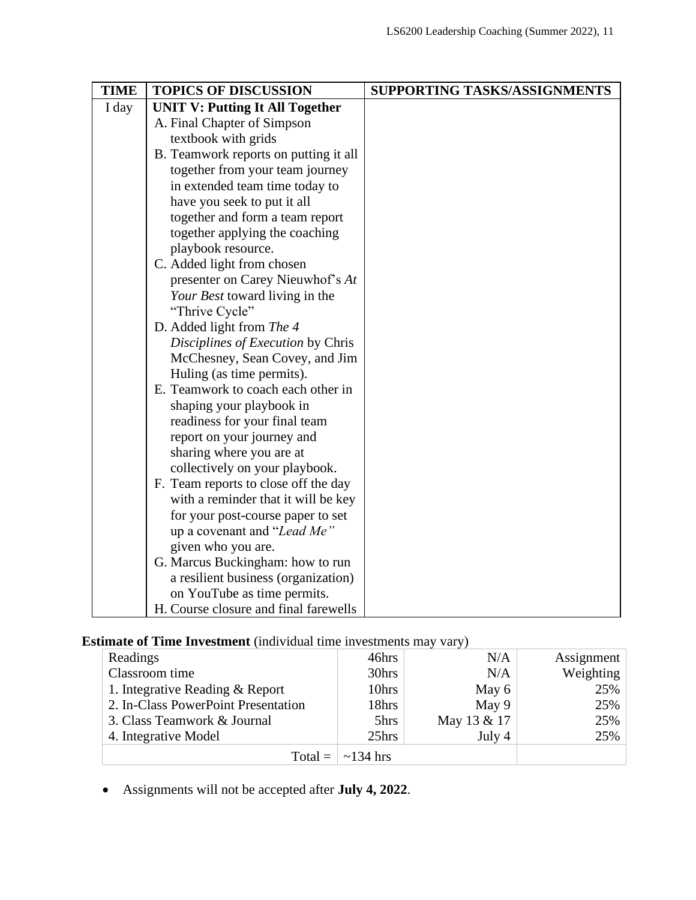| <b>TIME</b> | <b>TOPICS OF DISCUSSION</b>            | SUPPORTING TASKS/ASSIGNMENTS |
|-------------|----------------------------------------|------------------------------|
| I day       | <b>UNIT V: Putting It All Together</b> |                              |
|             | A. Final Chapter of Simpson            |                              |
|             | textbook with grids                    |                              |
|             | B. Teamwork reports on putting it all  |                              |
|             | together from your team journey        |                              |
|             | in extended team time today to         |                              |
|             | have you seek to put it all            |                              |
|             | together and form a team report        |                              |
|             | together applying the coaching         |                              |
|             | playbook resource.                     |                              |
|             | C. Added light from chosen             |                              |
|             | presenter on Carey Nieuwhof's At       |                              |
|             | Your Best toward living in the         |                              |
|             | "Thrive Cycle"                         |                              |
|             | D. Added light from The 4              |                              |
|             | Disciplines of Execution by Chris      |                              |
|             | McChesney, Sean Covey, and Jim         |                              |
|             | Huling (as time permits).              |                              |
|             | E. Teamwork to coach each other in     |                              |
|             | shaping your playbook in               |                              |
|             | readiness for your final team          |                              |
|             | report on your journey and             |                              |
|             | sharing where you are at               |                              |
|             | collectively on your playbook.         |                              |
|             | F. Team reports to close off the day   |                              |
|             | with a reminder that it will be key    |                              |
|             | for your post-course paper to set      |                              |
|             | up a covenant and "Lead Me"            |                              |
|             | given who you are.                     |                              |
|             | G. Marcus Buckingham: how to run       |                              |
|             | a resilient business (organization)    |                              |
|             | on YouTube as time permits.            |                              |
|             | H. Course closure and final farewells  |                              |

# **Estimate of Time Investment** (individual time investments may vary)

| Readings                            | 46hrs                        | N/A         | Assignment |
|-------------------------------------|------------------------------|-------------|------------|
| Classroom time                      | 30hrs                        | N/A         | Weighting  |
| 1. Integrative Reading & Report     | 10hrs                        | May 6       | 25%        |
| 2. In-Class PowerPoint Presentation | 18hrs                        | May 9       | 25%        |
| 3. Class Teamwork & Journal         | 5hrs                         | May 13 & 17 | 25%        |
| 4. Integrative Model                | 25hrs                        | July 4      | 25%        |
|                                     | Total = $\vert \sim 134$ hrs |             |            |

• Assignments will not be accepted after **July 4, 2022**.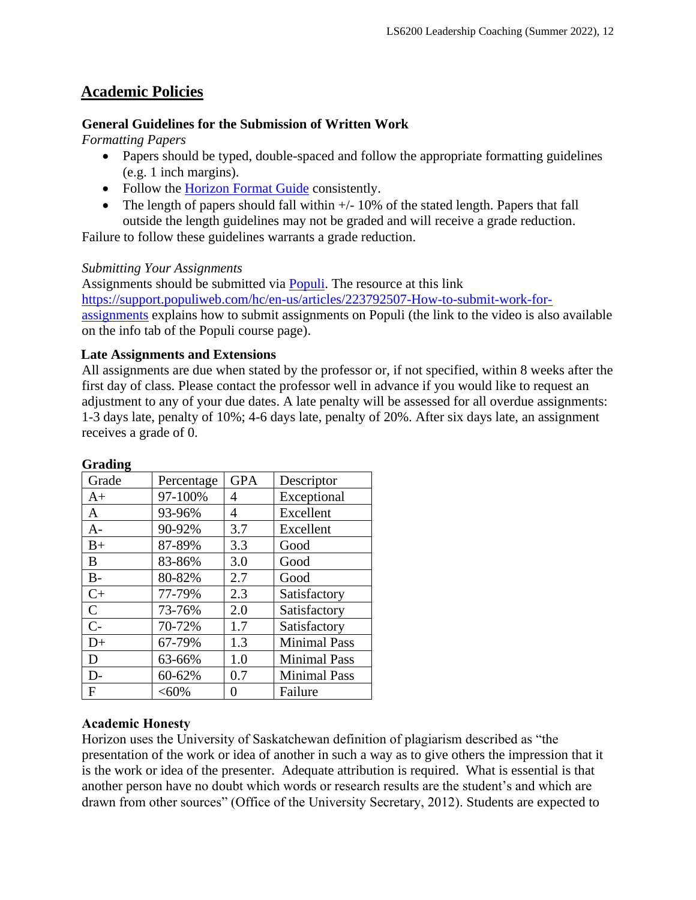# **Academic Policies**

### **General Guidelines for the Submission of Written Work**

*Formatting Papers* 

- Papers should be typed, double-spaced and follow the appropriate formatting guidelines (e.g. 1 inch margins).
- Follow the [Horizon Format Guide](https://www.horizon.edu/students/resources/) consistently.
- The length of papers should fall within  $+/-10\%$  of the stated length. Papers that fall outside the length guidelines may not be graded and will receive a grade reduction.

Failure to follow these guidelines warrants a grade reduction.

### *Submitting Your Assignments*

Assignments should be submitted via [Populi.](https://horizon.populiweb.com/) The resource at this link [https://support.populiweb.com/hc/en-us/articles/223792507-How-to-submit-work-for](https://support.populiweb.com/hc/en-us/articles/223792507-How-to-submit-work-for-assignments)[assignments](https://support.populiweb.com/hc/en-us/articles/223792507-How-to-submit-work-for-assignments) explains how to submit assignments on Populi (the link to the video is also available on the info tab of the Populi course page).

### **Late Assignments and Extensions**

All assignments are due when stated by the professor or, if not specified, within 8 weeks after the first day of class. Please contact the professor well in advance if you would like to request an adjustment to any of your due dates. A late penalty will be assessed for all overdue assignments: 1-3 days late, penalty of 10%; 4-6 days late, penalty of 20%. After six days late, an assignment receives a grade of 0.

| Grade        | Percentage | <b>GPA</b> | Descriptor          |
|--------------|------------|------------|---------------------|
| $A+$         | 97-100%    | 4          | Exceptional         |
| $\mathbf{A}$ | 93-96%     | 4          | Excellent           |
| $A-$         | 90-92%     | 3.7        | Excellent           |
| $B+$         | 87-89%     | 3.3        | Good                |
| B            | 83-86%     | 3.0        | Good                |
| $B -$        | 80-82%     | 2.7        | Good                |
| $C+$         | 77-79%     | 2.3        | Satisfactory        |
| $\mathbf C$  | 73-76%     | 2.0        | Satisfactory        |
| $C-$         | 70-72%     | 1.7        | Satisfactory        |
| $D+$         | 67-79%     | 1.3        | <b>Minimal Pass</b> |
| D            | 63-66%     | 1.0        | <b>Minimal Pass</b> |
| $D-$         | 60-62%     | 0.7        | <b>Minimal Pass</b> |
| F            | < 60%      |            | Failure             |

### **Grading**

# **Academic Honesty**

Horizon uses the University of Saskatchewan definition of plagiarism described as "the presentation of the work or idea of another in such a way as to give others the impression that it is the work or idea of the presenter. Adequate attribution is required. What is essential is that another person have no doubt which words or research results are the student's and which are drawn from other sources" (Office of the University Secretary, 2012). Students are expected to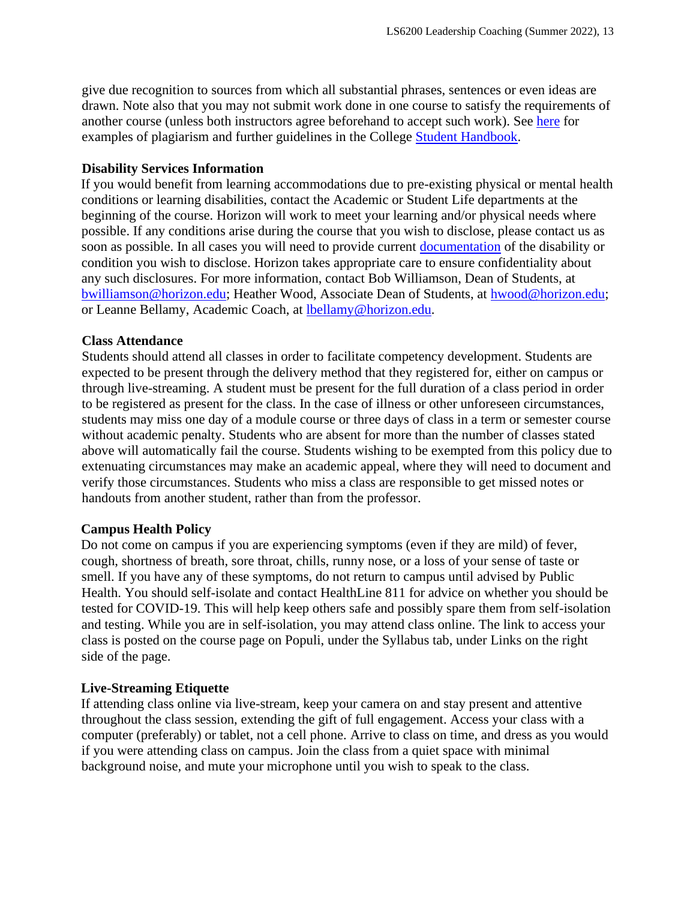give due recognition to sources from which all substantial phrases, sentences or even ideas are drawn. Note also that you may not submit work done in one course to satisfy the requirements of another course (unless both instructors agree beforehand to accept such work). See [here](http://www.turnitin.com/assets/en_us/media/plagiarism_spectrum.php) for examples of plagiarism and further guidelines in the College [Student Handbook.](https://www.horizon.edu/academics/)

### **Disability Services Information**

If you would benefit from learning accommodations due to pre-existing physical or mental health conditions or learning disabilities, contact the Academic or Student Life departments at the beginning of the course. Horizon will work to meet your learning and/or physical needs where possible. If any conditions arise during the course that you wish to disclose, please contact us as soon as possible. In all cases you will need to provide current [documentation](https://www.horizon.edu/students/support/) of the disability or condition you wish to disclose. Horizon takes appropriate care to ensure confidentiality about any such disclosures. For more information, contact Bob Williamson, Dean of Students, at [bwilliamson@horizon.edu;](mailto:bwilliamson@horizon.edu) Heather Wood, Associate Dean of Students, at [hwood@horizon.edu;](mailto:hwood@horizon.edu) or Leanne Bellamy, Academic Coach, at [lbellamy@horizon.edu.](mailto:lbellamy@horizon.edu)

### **Class Attendance**

Students should attend all classes in order to facilitate competency development. Students are expected to be present through the delivery method that they registered for, either on campus or through live-streaming. A student must be present for the full duration of a class period in order to be registered as present for the class. In the case of illness or other unforeseen circumstances, students may miss one day of a module course or three days of class in a term or semester course without academic penalty. Students who are absent for more than the number of classes stated above will automatically fail the course. Students wishing to be exempted from this policy due to extenuating circumstances may make an academic appeal, where they will need to document and verify those circumstances. Students who miss a class are responsible to get missed notes or handouts from another student, rather than from the professor.

### **Campus Health Policy**

Do not come on campus if you are experiencing symptoms (even if they are mild) of fever, cough, shortness of breath, sore throat, chills, runny nose, or a loss of your sense of taste or smell. If you have any of these symptoms, do not return to campus until advised by Public Health. You should self-isolate and contact HealthLine 811 for advice on whether you should be tested for COVID-19. This will help keep others safe and possibly spare them from self-isolation and testing. While you are in self-isolation, you may attend class online. The link to access your class is posted on the course page on Populi, under the Syllabus tab, under Links on the right side of the page.

### **Live-Streaming Etiquette**

If attending class online via live-stream, keep your camera on and stay present and attentive throughout the class session, extending the gift of full engagement. Access your class with a computer (preferably) or tablet, not a cell phone. Arrive to class on time, and dress as you would if you were attending class on campus. Join the class from a quiet space with minimal background noise, and mute your microphone until you wish to speak to the class.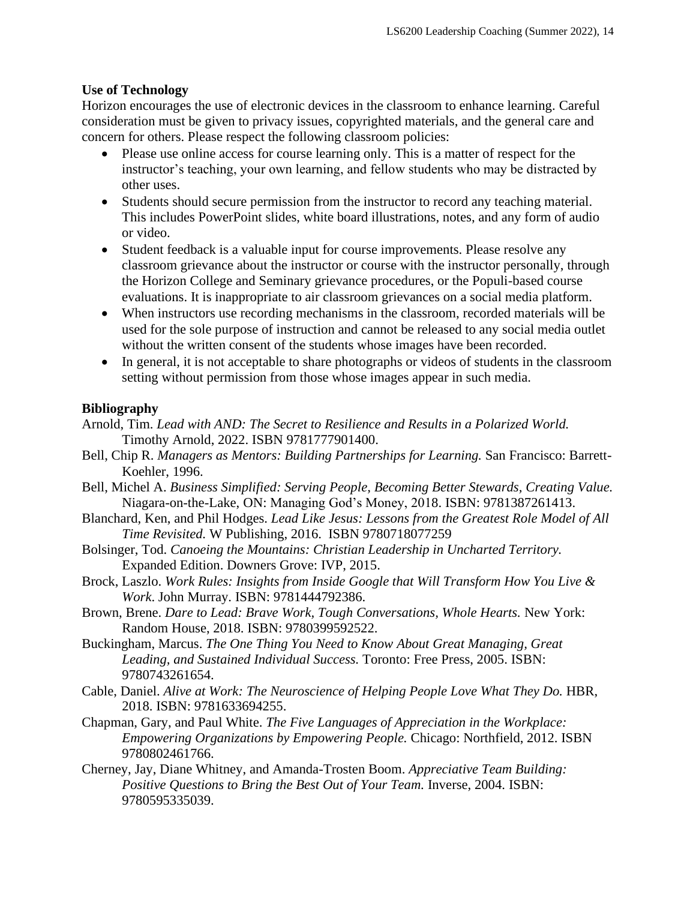### **Use of Technology**

Horizon encourages the use of electronic devices in the classroom to enhance learning. Careful consideration must be given to privacy issues, copyrighted materials, and the general care and concern for others. Please respect the following classroom policies:

- Please use online access for course learning only. This is a matter of respect for the instructor's teaching, your own learning, and fellow students who may be distracted by other uses.
- Students should secure permission from the instructor to record any teaching material. This includes PowerPoint slides, white board illustrations, notes, and any form of audio or video.
- Student feedback is a valuable input for course improvements. Please resolve any classroom grievance about the instructor or course with the instructor personally, through the Horizon College and Seminary grievance procedures, or the Populi-based course evaluations. It is inappropriate to air classroom grievances on a social media platform.
- When instructors use recording mechanisms in the classroom, recorded materials will be used for the sole purpose of instruction and cannot be released to any social media outlet without the written consent of the students whose images have been recorded.
- In general, it is not acceptable to share photographs or videos of students in the classroom setting without permission from those whose images appear in such media.

### **Bibliography**

- Arnold, Tim. *Lead with AND: The Secret to Resilience and Results in a Polarized World.* Timothy Arnold, 2022. ISBN 9781777901400.
- Bell, Chip R. *Managers as Mentors: Building Partnerships for Learning.* San Francisco: Barrett-Koehler, 1996.
- Bell, Michel A. *Business Simplified: Serving People, Becoming Better Stewards, Creating Value.* Niagara-on-the-Lake, ON: Managing God's Money, 2018. ISBN: 9781387261413.
- Blanchard, Ken, and Phil Hodges. *Lead Like Jesus: Lessons from the Greatest Role Model of All Time Revisited.* W Publishing, 2016. ISBN 9780718077259
- Bolsinger, Tod. *Canoeing the Mountains: Christian Leadership in Uncharted Territory.*  Expanded Edition. Downers Grove: IVP, 2015.
- Brock, Laszlo. *Work Rules: Insights from Inside Google that Will Transform How You Live & Work*. John Murray. ISBN: 9781444792386.
- Brown, Brene. *Dare to Lead: Brave Work, Tough Conversations, Whole Hearts.* New York: Random House, 2018. ISBN: 9780399592522.
- Buckingham, Marcus. *The One Thing You Need to Know About Great Managing, Great Leading, and Sustained Individual Success.* Toronto: Free Press, 2005. ISBN: 9780743261654.
- Cable, Daniel. *Alive at Work: The Neuroscience of Helping People Love What They Do.* HBR, 2018. ISBN: 9781633694255.
- Chapman, Gary, and Paul White. *The Five Languages of Appreciation in the Workplace: Empowering Organizations by Empowering People.* Chicago: Northfield, 2012. ISBN 9780802461766.
- Cherney, Jay, Diane Whitney, and Amanda-Trosten Boom. *Appreciative Team Building: Positive Questions to Bring the Best Out of Your Team.* Inverse, 2004. ISBN: 9780595335039.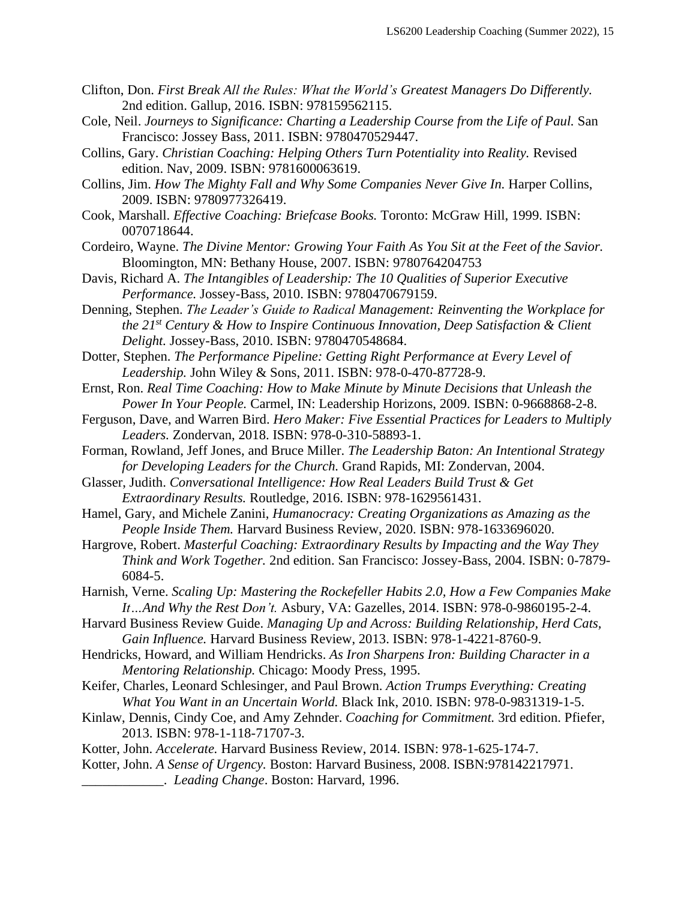- Clifton, Don. *First Break All the Rules: What the World's Greatest Managers Do Differently.*  2nd edition. Gallup, 2016. ISBN: 978159562115.
- Cole, Neil. *Journeys to Significance: Charting a Leadership Course from the Life of Paul.* San Francisco: Jossey Bass, 2011. ISBN: 9780470529447.
- Collins, Gary. *Christian Coaching: Helping Others Turn Potentiality into Reality.* Revised edition. Nav, 2009. ISBN: 9781600063619.
- Collins, Jim. *How The Mighty Fall and Why Some Companies Never Give In.* Harper Collins, 2009. ISBN: 9780977326419.
- Cook, Marshall. *Effective Coaching: Briefcase Books.* Toronto: McGraw Hill, 1999. ISBN: 0070718644.
- Cordeiro, Wayne. *The Divine Mentor: Growing Your Faith As You Sit at the Feet of the Savior.*  Bloomington, MN: Bethany House, 2007. ISBN: 9780764204753
- Davis, Richard A. *The Intangibles of Leadership: The 10 Qualities of Superior Executive Performance.* Jossey-Bass, 2010. ISBN: 9780470679159.
- Denning, Stephen. *The Leader's Guide to Radical Management: Reinventing the Workplace for the 21st Century & How to Inspire Continuous Innovation, Deep Satisfaction & Client Delight.* Jossey-Bass, 2010. ISBN: 9780470548684.
- Dotter, Stephen. *The Performance Pipeline: Getting Right Performance at Every Level of Leadership.* John Wiley & Sons, 2011. ISBN: 978-0-470-87728-9.
- Ernst, Ron. *Real Time Coaching: How to Make Minute by Minute Decisions that Unleash the Power In Your People.* Carmel, IN: Leadership Horizons, 2009. ISBN: 0-9668868-2-8.
- Ferguson, Dave, and Warren Bird. *Hero Maker: Five Essential Practices for Leaders to Multiply Leaders.* Zondervan, 2018. ISBN: 978-0-310-58893-1.
- Forman, Rowland, Jeff Jones, and Bruce Miller. *The Leadership Baton: An Intentional Strategy for Developing Leaders for the Church.* Grand Rapids, MI: Zondervan, 2004.
- Glasser, Judith. *Conversational Intelligence: How Real Leaders Build Trust & Get Extraordinary Results.* Routledge, 2016. ISBN: 978-1629561431.
- Hamel, Gary, and Michele Zanini, *Humanocracy: Creating Organizations as Amazing as the People Inside Them.* Harvard Business Review, 2020. ISBN: 978-1633696020.
- Hargrove, Robert. *Masterful Coaching: Extraordinary Results by Impacting and the Way They Think and Work Together.* 2nd edition. San Francisco: Jossey-Bass, 2004. ISBN: 0-7879- 6084-5.
- Harnish, Verne. *Scaling Up: Mastering the Rockefeller Habits 2.0, How a Few Companies Make It…And Why the Rest Don't.* Asbury, VA: Gazelles, 2014. ISBN: 978-0-9860195-2-4.
- Harvard Business Review Guide. *Managing Up and Across: Building Relationship, Herd Cats, Gain Influence.* Harvard Business Review, 2013. ISBN: 978-1-4221-8760-9.
- Hendricks, Howard, and William Hendricks. *As Iron Sharpens Iron: Building Character in a Mentoring Relationship.* Chicago: Moody Press, 1995.
- Keifer, Charles, Leonard Schlesinger, and Paul Brown. *Action Trumps Everything: Creating What You Want in an Uncertain World.* Black Ink, 2010. ISBN: 978-0-9831319-1-5.
- Kinlaw, Dennis, Cindy Coe, and Amy Zehnder. *Coaching for Commitment.* 3rd edition. Pfiefer, 2013. ISBN: 978-1-118-71707-3.
- Kotter, John. *Accelerate.* Harvard Business Review, 2014. ISBN: 978-1-625-174-7.
- Kotter, John. *A Sense of Urgency.* Boston: Harvard Business, 2008. ISBN:978142217971. \_\_\_\_\_\_\_\_\_\_\_\_. *Leading Change*. Boston: Harvard, 1996.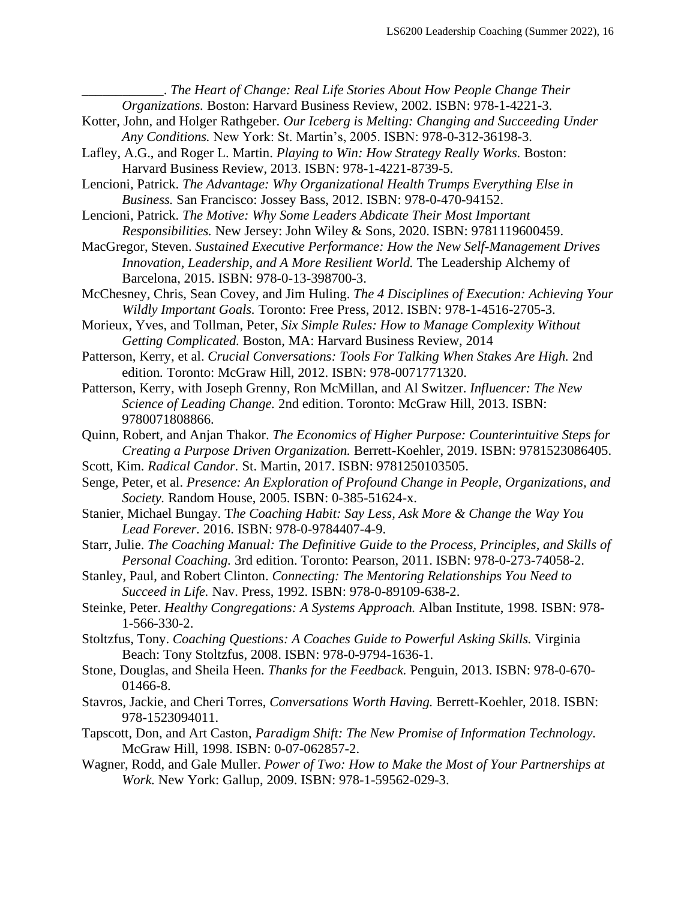\_\_\_\_\_\_\_\_\_\_\_\_. *The Heart of Change: Real Life Stories About How People Change Their Organizations.* Boston: Harvard Business Review, 2002. ISBN: 978-1-4221-3.

- Kotter, John, and Holger Rathgeber. *Our Iceberg is Melting: Changing and Succeeding Under Any Conditions.* New York: St. Martin's, 2005. ISBN: 978-0-312-36198-3.
- Lafley, A.G., and Roger L. Martin. *Playing to Win: How Strategy Really Works.* Boston: Harvard Business Review, 2013. ISBN: 978-1-4221-8739-5.

Lencioni, Patrick. *The Advantage: Why Organizational Health Trumps Everything Else in Business.* San Francisco: Jossey Bass, 2012. ISBN: 978-0-470-94152.

- Lencioni, Patrick. *The Motive: Why Some Leaders Abdicate Their Most Important Responsibilities.* New Jersey: John Wiley & Sons, 2020. ISBN: 9781119600459.
- MacGregor, Steven. *Sustained Executive Performance: How the New Self-Management Drives Innovation, Leadership, and A More Resilient World.* The Leadership Alchemy of Barcelona, 2015. ISBN: 978-0-13-398700-3.
- McChesney, Chris, Sean Covey, and Jim Huling. *The 4 Disciplines of Execution: Achieving Your Wildly Important Goals.* Toronto: Free Press, 2012. ISBN: 978-1-4516-2705-3.
- Morieux, Yves, and Tollman, Peter, *Six Simple Rules: How to Manage Complexity Without Getting Complicated.* Boston, MA: Harvard Business Review, 2014
- Patterson, Kerry, et al. *Crucial Conversations: Tools For Talking When Stakes Are High.* 2nd edition*.* Toronto: McGraw Hill, 2012. ISBN: 978-0071771320.
- Patterson, Kerry, with Joseph Grenny, Ron McMillan, and Al Switzer. *Influencer: The New Science of Leading Change.* 2nd edition. Toronto: McGraw Hill, 2013. ISBN: 9780071808866.
- Quinn, Robert, and Anjan Thakor. *The Economics of Higher Purpose: Counterintuitive Steps for Creating a Purpose Driven Organization.* Berrett-Koehler, 2019. ISBN: 9781523086405.
- Scott, Kim. *Radical Candor.* St. Martin, 2017. ISBN: 9781250103505.
- Senge, Peter, et al. *Presence: An Exploration of Profound Change in People, Organizations, and Society.* Random House, 2005. ISBN: 0-385-51624-x.
- Stanier, Michael Bungay. T*he Coaching Habit: Say Less, Ask More & Change the Way You Lead Forever.* 2016. ISBN: 978-0-9784407-4-9.
- Starr, Julie. *The Coaching Manual: The Definitive Guide to the Process, Principles, and Skills of Personal Coaching.* 3rd edition. Toronto: Pearson, 2011. ISBN: 978-0-273-74058-2.
- Stanley, Paul, and Robert Clinton. *Connecting: The Mentoring Relationships You Need to Succeed in Life.* Nav. Press, 1992. ISBN: 978-0-89109-638-2.
- Steinke, Peter. *Healthy Congregations: A Systems Approach.* Alban Institute, 1998. ISBN: 978- 1-566-330-2.
- Stoltzfus, Tony. *Coaching Questions: A Coaches Guide to Powerful Asking Skills.* Virginia Beach: Tony Stoltzfus, 2008. ISBN: 978-0-9794-1636-1.
- Stone, Douglas, and Sheila Heen. *Thanks for the Feedback.* Penguin, 2013. ISBN: 978-0-670- 01466-8.
- Stavros, Jackie, and Cheri Torres, *Conversations Worth Having.* Berrett-Koehler, 2018. ISBN: 978-1523094011.
- Tapscott, Don, and Art Caston, *Paradigm Shift: The New Promise of Information Technology.*  McGraw Hill, 1998. ISBN: 0-07-062857-2.
- Wagner, Rodd, and Gale Muller. *Power of Two: How to Make the Most of Your Partnerships at Work.* New York: Gallup, 2009. ISBN: 978-1-59562-029-3.